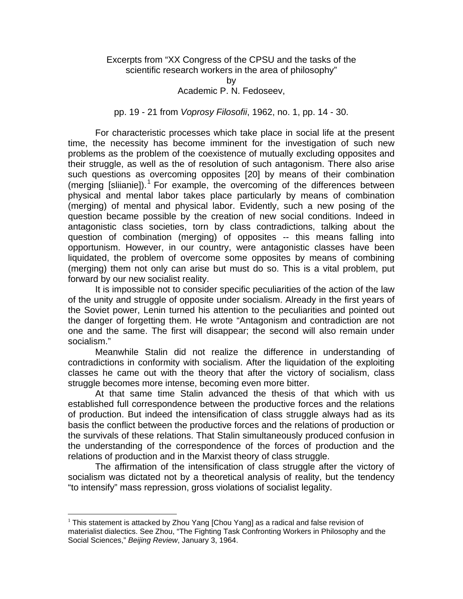## Excerpts from "XX Congress of the CPSU and the tasks of the scientific research workers in the area of philosophy"

by Academic P. N. Fedoseev,

pp. 19 - 21 from *Voprosy Filosofii*, 1962, no. 1, pp. 14 - 30.

 For characteristic processes which take place in social life at the present time, the necessity has become imminent for the investigation of such new problems as the problem of the coexistence of mutually excluding opposites and their struggle, as well as the of resolution of such antagonism. There also arise such questions as overcoming opposites [20] by means of their combination (merging [sliianie]). $<sup>1</sup>$  For example, the overcoming of the differences between</sup> physical and mental labor takes place particularly by means of combination (merging) of mental and physical labor. Evidently, such a new posing of the question became possible by the creation of new social conditions. Indeed in antagonistic class societies, torn by class contradictions, talking about the question of combination (merging) of opposites -- this means falling into opportunism. However, in our country, were antagonistic classes have been liquidated, the problem of overcome some opposites by means of combining (merging) them not only can arise but must do so. This is a vital problem, put forward by our new socialist reality.

 It is impossible not to consider specific peculiarities of the action of the law of the unity and struggle of opposite under socialism. Already in the first years of the Soviet power, Lenin turned his attention to the peculiarities and pointed out the danger of forgetting them. He wrote "Antagonism and contradiction are not one and the same. The first will disappear; the second will also remain under socialism."

 Meanwhile Stalin did not realize the difference in understanding of contradictions in conformity with socialism. After the liquidation of the exploiting classes he came out with the theory that after the victory of socialism, class struggle becomes more intense, becoming even more bitter.

 At that same time Stalin advanced the thesis of that which with us established full correspondence between the productive forces and the relations of production. But indeed the intensification of class struggle always had as its basis the conflict between the productive forces and the relations of production or the survivals of these relations. That Stalin simultaneously produced confusion in the understanding of the correspondence of the forces of production and the relations of production and in the Marxist theory of class struggle.

 The affirmation of the intensification of class struggle after the victory of socialism was dictated not by a theoretical analysis of reality, but the tendency "to intensify" mass repression, gross violations of socialist legality.

 $\overline{a}$ 

 $<sup>1</sup>$  This statement is attacked by Zhou Yang [Chou Yang] as a radical and false revision of</sup> materialist dialectics. See Zhou, "The Fighting Task Confronting Workers in Philosophy and the Social Sciences," *Beijing Review*, January 3, 1964.